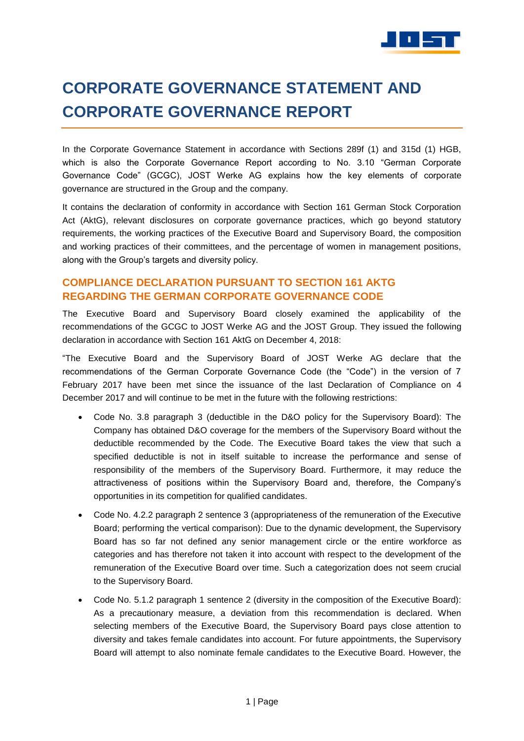

# **CORPORATE GOVERNANCE STATEMENT AND CORPORATE GOVERNANCE REPORT**

In the Corporate Governance Statement in accordance with Sections 289f (1) and 315d (1) HGB, which is also the Corporate Governance Report according to No. 3.10 "German Corporate Governance Code" (GCGC), JOST Werke AG explains how the key elements of corporate governance are structured in the Group and the company.

It contains the declaration of conformity in accordance with Section 161 German Stock Corporation Act (AktG), relevant disclosures on corporate governance practices, which go beyond statutory requirements, the working practices of the Executive Board and Supervisory Board, the composition and working practices of their committees, and the percentage of women in management positions, along with the Group's targets and diversity policy.

# **COMPLIANCE DECLARATION PURSUANT TO SECTION 161 AKTG REGARDING THE GERMAN CORPORATE GOVERNANCE CODE**

The Executive Board and Supervisory Board closely examined the applicability of the recommendations of the GCGC to JOST Werke AG and the JOST Group. They issued the following declaration in accordance with Section 161 AktG on December 4, 2018:

"The Executive Board and the Supervisory Board of JOST Werke AG declare that the recommendations of the German Corporate Governance Code (the "Code") in the version of 7 February 2017 have been met since the issuance of the last Declaration of Compliance on 4 December 2017 and will continue to be met in the future with the following restrictions:

- Code No. 3.8 paragraph 3 (deductible in the D&O policy for the Supervisory Board): The Company has obtained D&O coverage for the members of the Supervisory Board without the deductible recommended by the Code. The Executive Board takes the view that such a specified deductible is not in itself suitable to increase the performance and sense of responsibility of the members of the Supervisory Board. Furthermore, it may reduce the attractiveness of positions within the Supervisory Board and, therefore, the Company's opportunities in its competition for qualified candidates.
- Code No. 4.2.2 paragraph 2 sentence 3 (appropriateness of the remuneration of the Executive Board; performing the vertical comparison): Due to the dynamic development, the Supervisory Board has so far not defined any senior management circle or the entire workforce as categories and has therefore not taken it into account with respect to the development of the remuneration of the Executive Board over time. Such a categorization does not seem crucial to the Supervisory Board.
- Code No. 5.1.2 paragraph 1 sentence 2 (diversity in the composition of the Executive Board): As a precautionary measure, a deviation from this recommendation is declared. When selecting members of the Executive Board, the Supervisory Board pays close attention to diversity and takes female candidates into account. For future appointments, the Supervisory Board will attempt to also nominate female candidates to the Executive Board. However, the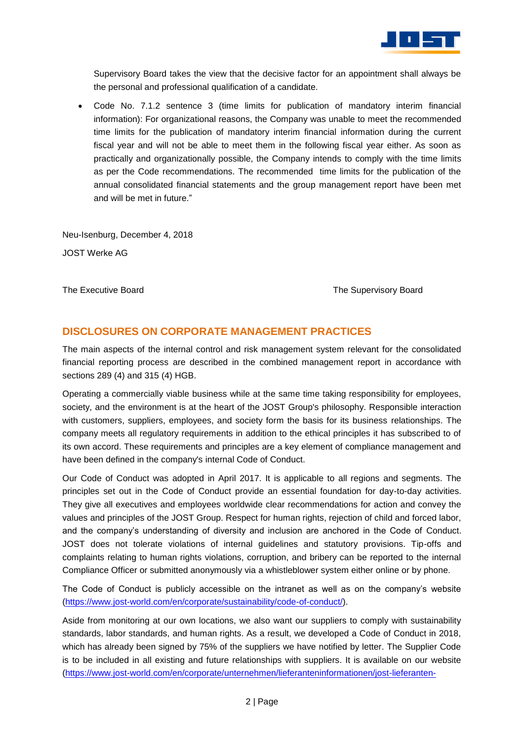

Supervisory Board takes the view that the decisive factor for an appointment shall always be the personal and professional qualification of a candidate.

 Code No. 7.1.2 sentence 3 (time limits for publication of mandatory interim financial information): For organizational reasons, the Company was unable to meet the recommended time limits for the publication of mandatory interim financial information during the current fiscal year and will not be able to meet them in the following fiscal year either. As soon as practically and organizationally possible, the Company intends to comply with the time limits as per the Code recommendations. The recommended time limits for the publication of the annual consolidated financial statements and the group management report have been met and will be met in future."

Neu-Isenburg, December 4, 2018 JOST Werke AG

The Executive Board The Supervisory Board The Supervisory Board

## **DISCLOSURES ON CORPORATE MANAGEMENT PRACTICES**

The main aspects of the internal control and risk management system relevant for the consolidated financial reporting process are described in the combined management report in accordance with sections 289 (4) and 315 (4) HGB.

Operating a commercially viable business while at the same time taking responsibility for employees, society, and the environment is at the heart of the JOST Group's philosophy. Responsible interaction with customers, suppliers, employees, and society form the basis for its business relationships. The company meets all regulatory requirements in addition to the ethical principles it has subscribed to of its own accord. These requirements and principles are a key element of compliance management and have been defined in the company's internal Code of Conduct.

Our Code of Conduct was adopted in April 2017. It is applicable to all regions and segments. The principles set out in the Code of Conduct provide an essential foundation for day-to-day activities. They give all executives and employees worldwide clear recommendations for action and convey the values and principles of the JOST Group. Respect for human rights, rejection of child and forced labor, and the company's understanding of diversity and inclusion are anchored in the Code of Conduct. JOST does not tolerate violations of internal guidelines and statutory provisions. Tip-offs and complaints relating to human rights violations, corruption, and bribery can be reported to the internal Compliance Officer or submitted anonymously via a whistleblower system either online or by phone.

The Code of Conduct is publicly accessible on the intranet as well as on the company's website [\(https://www.jost-world.com/en/corporate/sustainability/code-of-conduct/\)](https://www.jost-world.com/en/corporate/sustainability/code-of-conduct/).

Aside from monitoring at our own locations, we also want our suppliers to comply with sustainability standards, labor standards, and human rights. As a result, we developed a Code of Conduct in 2018, which has already been signed by 75% of the suppliers we have notified by letter. The Supplier Code is to be included in all existing and future relationships with suppliers. It is available on our website [\(https://www.jost-world.com/en/corporate/unternehmen/lieferanteninformationen/jost-lieferanten-](https://www.jost-world.com/en/corporate/unternehmen/lieferanteninformationen/jost-lieferanten-portal/#tab-2284-1)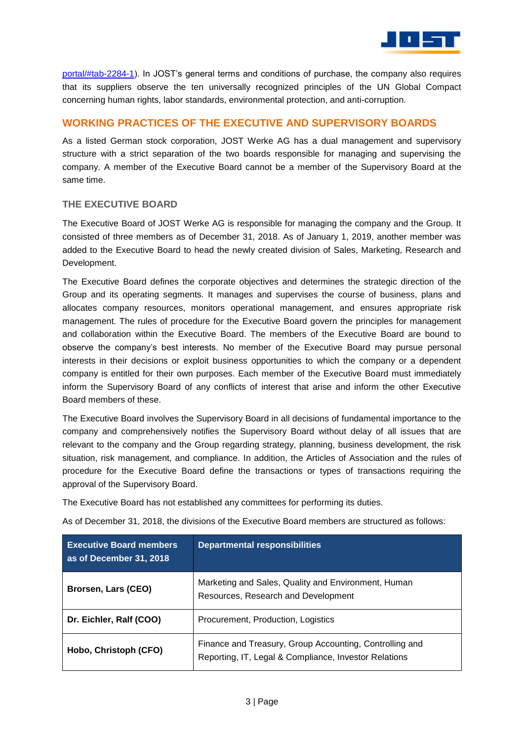

[portal/#tab-2284-1\)](https://www.jost-world.com/en/corporate/unternehmen/lieferanteninformationen/jost-lieferanten-portal/#tab-2284-1). In JOST's general terms and conditions of purchase, the company also requires that its suppliers observe the ten universally recognized principles of the UN Global Compact concerning human rights, labor standards, environmental protection, and anti-corruption.

## **WORKING PRACTICES OF THE EXECUTIVE AND SUPERVISORY BOARDS**

As a listed German stock corporation, JOST Werke AG has a dual management and supervisory structure with a strict separation of the two boards responsible for managing and supervising the company. A member of the Executive Board cannot be a member of the Supervisory Board at the same time.

#### **THE EXECUTIVE BOARD**

The Executive Board of JOST Werke AG is responsible for managing the company and the Group. It consisted of three members as of December 31, 2018. As of January 1, 2019, another member was added to the Executive Board to head the newly created division of Sales, Marketing, Research and Development.

The Executive Board defines the corporate objectives and determines the strategic direction of the Group and its operating segments. It manages and supervises the course of business, plans and allocates company resources, monitors operational management, and ensures appropriate risk management. The rules of procedure for the Executive Board govern the principles for management and collaboration within the Executive Board. The members of the Executive Board are bound to observe the company's best interests. No member of the Executive Board may pursue personal interests in their decisions or exploit business opportunities to which the company or a dependent company is entitled for their own purposes. Each member of the Executive Board must immediately inform the Supervisory Board of any conflicts of interest that arise and inform the other Executive Board members of these.

The Executive Board involves the Supervisory Board in all decisions of fundamental importance to the company and comprehensively notifies the Supervisory Board without delay of all issues that are relevant to the company and the Group regarding strategy, planning, business development, the risk situation, risk management, and compliance. In addition, the Articles of Association and the rules of procedure for the Executive Board define the transactions or types of transactions requiring the approval of the Supervisory Board.

The Executive Board has not established any committees for performing its duties.

As of December 31, 2018, the divisions of the Executive Board members are structured as follows:

| <b>Executive Board members</b><br>as of December 31, 2018 | <b>Departmental responsibilities</b>                                                                             |
|-----------------------------------------------------------|------------------------------------------------------------------------------------------------------------------|
| Brorsen, Lars (CEO)                                       | Marketing and Sales, Quality and Environment, Human<br>Resources, Research and Development                       |
| Dr. Eichler, Ralf (COO)                                   | Procurement, Production, Logistics                                                                               |
| Hobo, Christoph (CFO)                                     | Finance and Treasury, Group Accounting, Controlling and<br>Reporting, IT, Legal & Compliance, Investor Relations |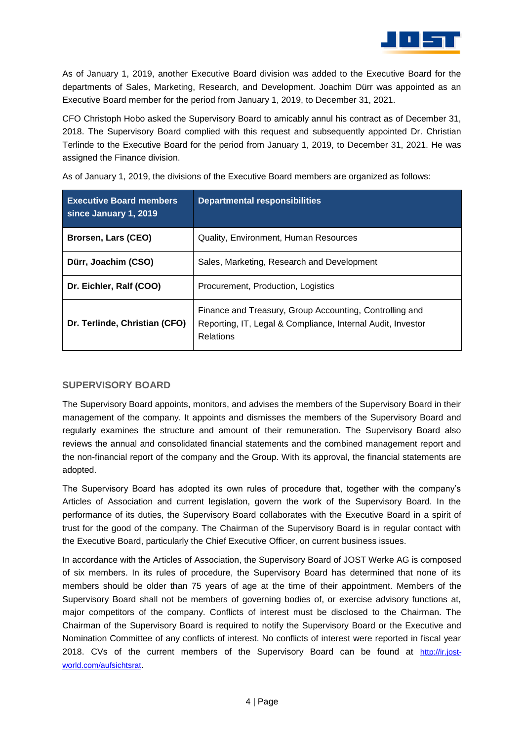

As of January 1, 2019, another Executive Board division was added to the Executive Board for the departments of Sales, Marketing, Research, and Development. Joachim Dürr was appointed as an Executive Board member for the period from January 1, 2019, to December 31, 2021.

CFO Christoph Hobo asked the Supervisory Board to amicably annul his contract as of December 31, 2018. The Supervisory Board complied with this request and subsequently appointed Dr. Christian Terlinde to the Executive Board for the period from January 1, 2019, to December 31, 2021. He was assigned the Finance division.

As of January 1, 2019, the divisions of the Executive Board members are organized as follows:

| <b>Executive Board members</b><br>since January 1, 2019 | <b>Departmental responsibilities</b>                                                                                                |
|---------------------------------------------------------|-------------------------------------------------------------------------------------------------------------------------------------|
| Brorsen, Lars (CEO)                                     | Quality, Environment, Human Resources                                                                                               |
| Dürr, Joachim (CSO)                                     | Sales, Marketing, Research and Development                                                                                          |
| Dr. Eichler, Ralf (COO)                                 | Procurement, Production, Logistics                                                                                                  |
| Dr. Terlinde, Christian (CFO)                           | Finance and Treasury, Group Accounting, Controlling and<br>Reporting, IT, Legal & Compliance, Internal Audit, Investor<br>Relations |

#### **SUPERVISORY BOARD**

The Supervisory Board appoints, monitors, and advises the members of the Supervisory Board in their management of the company. It appoints and dismisses the members of the Supervisory Board and regularly examines the structure and amount of their remuneration. The Supervisory Board also reviews the annual and consolidated financial statements and the combined management report and the non-financial report of the company and the Group. With its approval, the financial statements are adopted.

The Supervisory Board has adopted its own rules of procedure that, together with the company's Articles of Association and current legislation, govern the work of the Supervisory Board. In the performance of its duties, the Supervisory Board collaborates with the Executive Board in a spirit of trust for the good of the company. The Chairman of the Supervisory Board is in regular contact with the Executive Board, particularly the Chief Executive Officer, on current business issues.

In accordance with the Articles of Association, the Supervisory Board of JOST Werke AG is composed of six members. In its rules of procedure, the Supervisory Board has determined that none of its members should be older than 75 years of age at the time of their appointment. Members of the Supervisory Board shall not be members of governing bodies of, or exercise advisory functions at, major competitors of the company. Conflicts of interest must be disclosed to the Chairman. The Chairman of the Supervisory Board is required to notify the Supervisory Board or the Executive and Nomination Committee of any conflicts of interest. No conflicts of interest were reported in fiscal year 2018. CVs of the current members of the Supervisory Board can be found at [http://ir.jost](http://ir.jost-world.com/aufsichtsrat)[world.com/aufsichtsrat](http://ir.jost-world.com/aufsichtsrat).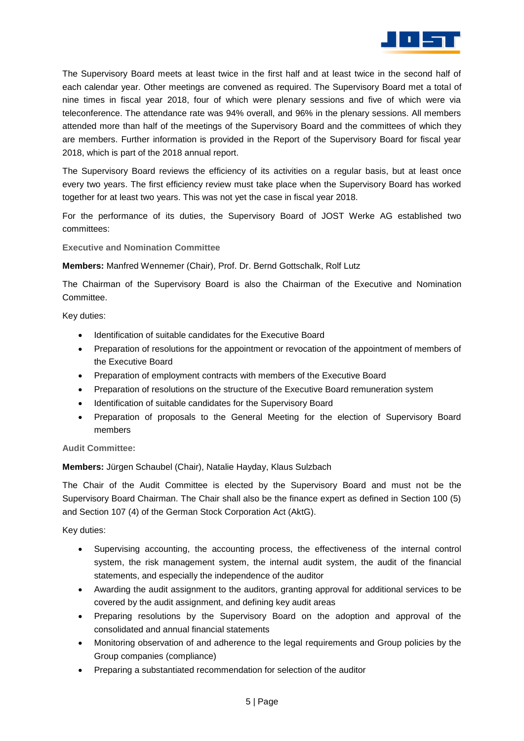

The Supervisory Board meets at least twice in the first half and at least twice in the second half of each calendar year. Other meetings are convened as required. The Supervisory Board met a total of nine times in fiscal year 2018, four of which were plenary sessions and five of which were via teleconference. The attendance rate was 94% overall, and 96% in the plenary sessions. All members attended more than half of the meetings of the Supervisory Board and the committees of which they are members. Further information is provided in the Report of the Supervisory Board for fiscal year 2018, which is part of the 2018 annual report.

The Supervisory Board reviews the efficiency of its activities on a regular basis, but at least once every two years. The first efficiency review must take place when the Supervisory Board has worked together for at least two years. This was not yet the case in fiscal year 2018.

For the performance of its duties, the Supervisory Board of JOST Werke AG established two committees:

**Executive and Nomination Committee**

**Members:** Manfred Wennemer (Chair), Prof. Dr. Bernd Gottschalk, Rolf Lutz

The Chairman of the Supervisory Board is also the Chairman of the Executive and Nomination Committee.

Key duties:

- Identification of suitable candidates for the Executive Board
- Preparation of resolutions for the appointment or revocation of the appointment of members of the Executive Board
- Preparation of employment contracts with members of the Executive Board
- Preparation of resolutions on the structure of the Executive Board remuneration system
- Identification of suitable candidates for the Supervisory Board
- Preparation of proposals to the General Meeting for the election of Supervisory Board members

**Audit Committee:**

**Members:** Jürgen Schaubel (Chair), Natalie Hayday, Klaus Sulzbach

The Chair of the Audit Committee is elected by the Supervisory Board and must not be the Supervisory Board Chairman. The Chair shall also be the finance expert as defined in Section 100 (5) and Section 107 (4) of the German Stock Corporation Act (AktG).

Key duties:

- Supervising accounting, the accounting process, the effectiveness of the internal control system, the risk management system, the internal audit system, the audit of the financial statements, and especially the independence of the auditor
- Awarding the audit assignment to the auditors, granting approval for additional services to be covered by the audit assignment, and defining key audit areas
- Preparing resolutions by the Supervisory Board on the adoption and approval of the consolidated and annual financial statements
- Monitoring observation of and adherence to the legal requirements and Group policies by the Group companies (compliance)
- Preparing a substantiated recommendation for selection of the auditor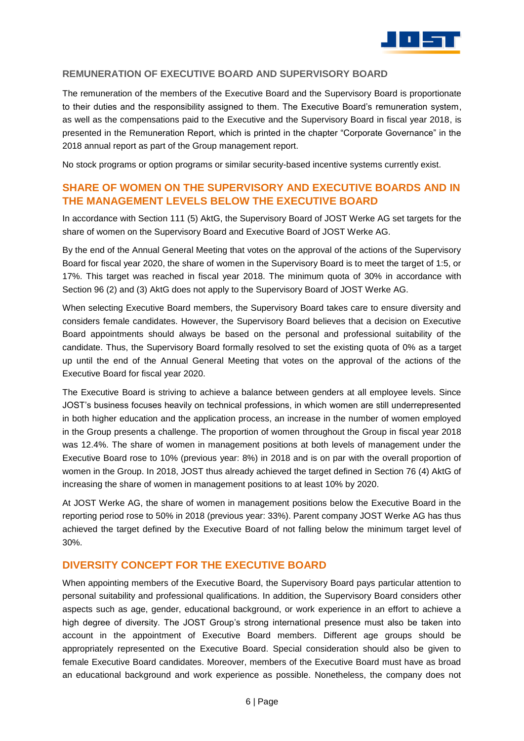

#### **REMUNERATION OF EXECUTIVE BOARD AND SUPERVISORY BOARD**

The remuneration of the members of the Executive Board and the Supervisory Board is proportionate to their duties and the responsibility assigned to them. The Executive Board's remuneration system, as well as the compensations paid to the Executive and the Supervisory Board in fiscal year 2018, is presented in the Remuneration Report, which is printed in the chapter "Corporate Governance" in the 2018 annual report as part of the Group management report.

No stock programs or option programs or similar security-based incentive systems currently exist.

# **SHARE OF WOMEN ON THE SUPERVISORY AND EXECUTIVE BOARDS AND IN THE MANAGEMENT LEVELS BELOW THE EXECUTIVE BOARD**

In accordance with Section 111 (5) AktG, the Supervisory Board of JOST Werke AG set targets for the share of women on the Supervisory Board and Executive Board of JOST Werke AG.

By the end of the Annual General Meeting that votes on the approval of the actions of the Supervisory Board for fiscal year 2020, the share of women in the Supervisory Board is to meet the target of 1:5, or 17%. This target was reached in fiscal year 2018. The minimum quota of 30% in accordance with Section 96 (2) and (3) AktG does not apply to the Supervisory Board of JOST Werke AG.

When selecting Executive Board members, the Supervisory Board takes care to ensure diversity and considers female candidates. However, the Supervisory Board believes that a decision on Executive Board appointments should always be based on the personal and professional suitability of the candidate. Thus, the Supervisory Board formally resolved to set the existing quota of 0% as a target up until the end of the Annual General Meeting that votes on the approval of the actions of the Executive Board for fiscal year 2020.

The Executive Board is striving to achieve a balance between genders at all employee levels. Since JOST's business focuses heavily on technical professions, in which women are still underrepresented in both higher education and the application process, an increase in the number of women employed in the Group presents a challenge. The proportion of women throughout the Group in fiscal year 2018 was 12.4%. The share of women in management positions at both levels of management under the Executive Board rose to 10% (previous year: 8%) in 2018 and is on par with the overall proportion of women in the Group. In 2018, JOST thus already achieved the target defined in Section 76 (4) AktG of increasing the share of women in management positions to at least 10% by 2020.

At JOST Werke AG, the share of women in management positions below the Executive Board in the reporting period rose to 50% in 2018 (previous year: 33%). Parent company JOST Werke AG has thus achieved the target defined by the Executive Board of not falling below the minimum target level of 30%.

#### **DIVERSITY CONCEPT FOR THE EXECUTIVE BOARD**

When appointing members of the Executive Board, the Supervisory Board pays particular attention to personal suitability and professional qualifications. In addition, the Supervisory Board considers other aspects such as age, gender, educational background, or work experience in an effort to achieve a high degree of diversity. The JOST Group's strong international presence must also be taken into account in the appointment of Executive Board members. Different age groups should be appropriately represented on the Executive Board. Special consideration should also be given to female Executive Board candidates. Moreover, members of the Executive Board must have as broad an educational background and work experience as possible. Nonetheless, the company does not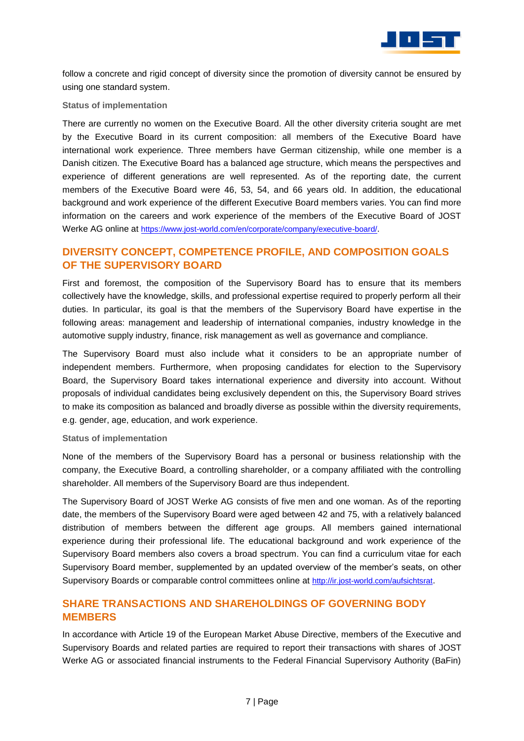

follow a concrete and rigid concept of diversity since the promotion of diversity cannot be ensured by using one standard system.

#### **Status of implementation**

There are currently no women on the Executive Board. All the other diversity criteria sought are met by the Executive Board in its current composition: all members of the Executive Board have international work experience. Three members have German citizenship, while one member is a Danish citizen. The Executive Board has a balanced age structure, which means the perspectives and experience of different generations are well represented. As of the reporting date, the current members of the Executive Board were 46, 53, 54, and 66 years old. In addition, the educational background and work experience of the different Executive Board members varies. You can find more information on the careers and work experience of the members of the Executive Board of JOST Werke AG online at [https://www.jost-world.com/en/corporate/company/executive-board/](https://www.jost-world.com/en/corporate/company/executive-board).

# **DIVERSITY CONCEPT, COMPETENCE PROFILE, AND COMPOSITION GOALS OF THE SUPERVISORY BOARD**

First and foremost, the composition of the Supervisory Board has to ensure that its members collectively have the knowledge, skills, and professional expertise required to properly perform all their duties. In particular, its goal is that the members of the Supervisory Board have expertise in the following areas: management and leadership of international companies, industry knowledge in the automotive supply industry, finance, risk management as well as governance and compliance.

The Supervisory Board must also include what it considers to be an appropriate number of independent members. Furthermore, when proposing candidates for election to the Supervisory Board, the Supervisory Board takes international experience and diversity into account. Without proposals of individual candidates being exclusively dependent on this, the Supervisory Board strives to make its composition as balanced and broadly diverse as possible within the diversity requirements, e.g. gender, age, education, and work experience.

#### **Status of implementation**

None of the members of the Supervisory Board has a personal or business relationship with the company, the Executive Board, a controlling shareholder, or a company affiliated with the controlling shareholder. All members of the Supervisory Board are thus independent.

The Supervisory Board of JOST Werke AG consists of five men and one woman. As of the reporting date, the members of the Supervisory Board were aged between 42 and 75, with a relatively balanced distribution of members between the different age groups. All members gained international experience during their professional life. The educational background and work experience of the Supervisory Board members also covers a broad spectrum. You can find a curriculum vitae for each Supervisory Board member, supplemented by an updated overview of the member's seats, on other Supervisory Boards or comparable control committees online at <http://ir.jost-world.com/aufsichtsrat>.

## **SHARE TRANSACTIONS AND SHAREHOLDINGS OF GOVERNING BODY MEMBERS**

In accordance with Article 19 of the European Market Abuse Directive, members of the Executive and Supervisory Boards and related parties are required to report their transactions with shares of JOST Werke AG or associated financial instruments to the Federal Financial Supervisory Authority (BaFin)